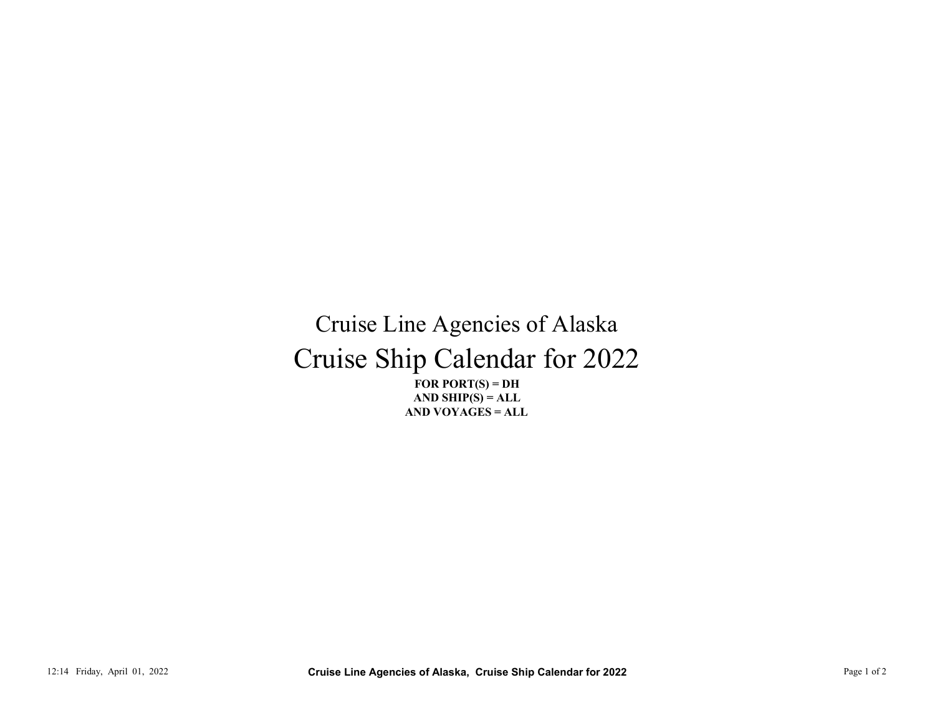## Cruise Ship Calendar for 2022 Cruise Line Agencies of Alaska 12:14 Friday, April 01, 2022<br>
12:14 Friday, April 01, 2022<br>
Page 1 of 2 Cruise Line Agencies of Alaska, Cruise Ship Calendar for 2022<br>
Page 1 of 2<br>
Page 1 of 2<br>
Page 1 of 2<br>
Page 1 of 2<br>
Page 1 of 2<br>
Page 1 of 2<br>
Page 1 o

FOR PORT $(S) = DH$ AND VOYAGES = ALL AND SHIP $(S) = ALL$